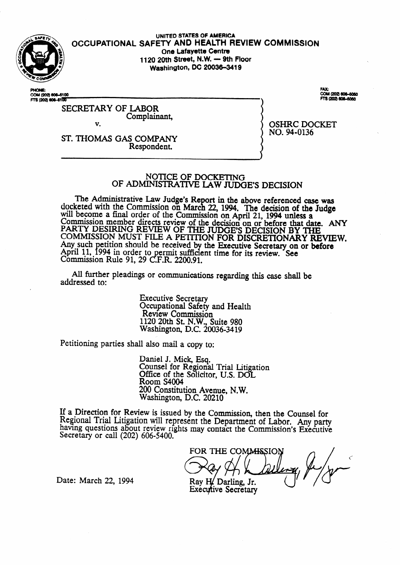

**UNITED STATES** OF AMERICA **OCCUPATIONAL SAFETY AND HEALTH REVIEW COMMiSSlON One Lafayette Centre 1120 20th Street, N.W. - 9th Floor Washington, DC 20036-3419** 

COM (202) 606-6100 COM (202) 606-6100 COM (202) 606-6050<br>FTS (202) 606-6050

#### SECRETARY OF LABOR Complainant V.

OSHRC DOCKET

NO. 94-0136

ST. THOMAS GAS COMPANY Respondent.

## NOTICE OF DOCKETING OF ADMINISTRATIVE LAW JUDGE'S DECISION

The Administrative Law Judge's Re docketed with the Commission on March rt in the above referenced case was 22, 1994. The decision of the Judge will become a final order of the Commission on April 21, 1994 unless a Commission member directs review of the decision on or before that date. ANY PARTY DESIRING REVIEW OF THE JUDGE'S DECISION BY THE COMMISSION MUST FILE A PETITION FOR DISCRETIONARY REVIEW Any such petition should be received by the Executive Secretary on or before April 11, 1994 in order to Commission Rule 91, 29  $\mathbb{C}$ ermit sufficient time for its review. See .F.R. 2200.91.

All further pleadings or communications regarding this case shall be addressed to:

> Executive Secretary Occupational Safety and Health Review Commission 1120 20th St. N.W., Suite 980 Washington, D.C. 20036-3419

Petitioning parties shall also mail a copy to:

Daniel J. Mick, Esq. Counsel for Regional Trial Litigation Office of the Solicitor, U.S. DOL Room S4004 200 Constitution Avenue, N.W. Washington, D.C. 20210

If a Direction for Review is issued by the Commission, then the Counsel for Regional Trial Litigation will represent the Department of Labor. Any party having questions about review rights may contact the Commission's Executive Secretary or call (202) 606-5400.

FOR THE COMMISSION Ray H. Darling, Jr. Executive Secretary

Date: March 22, 1994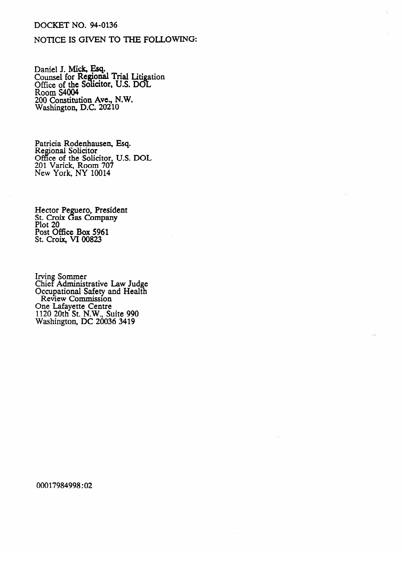# **DOCKET NO. 94-0136**

# NOTICE IS GIVEN TO THE FOLLOWING:

Daniel J. Mick, Esq.<br>Counsel for Regional Trial Litigation<br>Office of the Solicitor, U.S. DOL<br>Room S4004<br>200 Constitution Ave. N.W. 200 Constitution Ave., N.W.<br>Washington, D.C. 20210

Patricia Rodenhausen, Esq.<br>Regional Solicitor<br>Office of the Solicitor, U.S. DOL<br>201 Varick, Room 707<br>New York, NY 10014

Hector Peguero, President<br>St. Croix Gas Company<br>Plot 20<br>Post Office Box 5961<br>St. Croix, VI 00823

Irving Sommer<br>Chief Administrative Law Judge<br>Occupational Safety and Health<br>Review Commission One Lafayette Centre<br>1120 20th St. N.W., Suite 990<br>Washington, DC 20036 3419

00017984998:02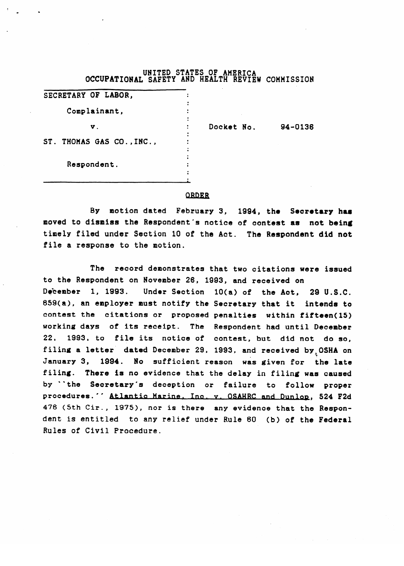| OCCUPATIONAL SAFETY AND HEALTH REVIEW COMMISSION | UNITED STATES OF AMERICA |         |
|--------------------------------------------------|--------------------------|---------|
| SECRETARY OF LABOR,                              |                          |         |
| Complainant,                                     |                          |         |
| ν.                                               | Docket No.               | 94-0136 |
| ST. THOMAS GAS CO., INC.,                        |                          |         |
| Respondent.                                      |                          |         |

.

## ORDER

.

By motion dated February 3, 1994, the Secretary has moved to dismiss the Respondent's notice of contest as not being timely filed under Section 10 of the Act. The Respondent did not file a response to the motion.

The record demonstrates that two citations were issued to the Respondent on November 26, 1993, and received on December 1, 1993. Under Section 10(a) of the Act, 29 U.S.C. 659(a), an employer must notify the Secretary that it intends to contest the citations or proposed penalties within fifteen(15) working days of its receipt. The Respondent had until December 22, 1993, to file its notice of contest, but did not do so, filing a letter dated December 29, 1993, and received by OSHA on January 3, 1994. No sufficient reason was given for the late filing. There is no evidence that the delay in filing was caused by "the Secretary's deception or failure to follow proper procedures.'' Atlantic Marine, Inc. v. OSAHRC and Dunlop, 524 F2d 476 (5th Cir., 1975), nor is there any evidence that the Respondent is entitled to any relief under Rule 60 (b) of the Federal<br>Rules of Civil Procedure dent- is entitled to any relief under Rule 60 (b) of the Federal Green Rule 60 (b) of the Federal Green Rule 60 (b) of the Federal Green Rule 60 (b) of the Federal Green Rule 60 (b) of the Federal Green Rule 60 (b) of the